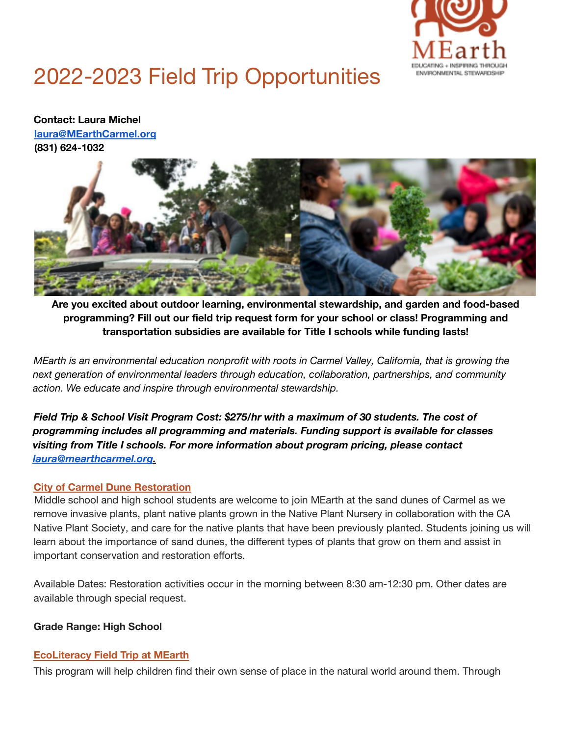

# 2022-2023 Field Trip Opportunities

**Contact: Laura Michel laura@MEarthCarmel.org (831) 624-1032**



**Are you excited about outdoor learning, environmental stewardship, and garden and food-based programming? Fill out our field trip request form for your school or class! Programming and transportation subsidies are available for Title I schools while funding lasts!**

*MEarth is an environmental education nonprofit with roots in Carmel Valley, California, that is growing the next generation of environmental leaders through education, collaboration, partnerships, and community action. We educate and inspire through environmental stewardship.*

*Field Trip & School Visit Program Cost: \$275/hr with a maximum of 30 students. The cost of programming includes all programming and materials. Funding support is available for classes visiting from Title I schools. For more information about program pricing, please contact laura@mearthcarmel.org.*

#### **City of Carmel Dune Restoration**

Middle school and high school students are welcome to join MEarth at the sand dunes of Carmel as we remove invasive plants, plant native plants grown in the Native Plant Nursery in collaboration with the CA Native Plant Society, and care for the native plants that have been previously planted. Students joining us will learn about the importance of sand dunes, the different types of plants that grow on them and assist in important conservation and restoration efforts.

Available Dates: Restoration activities occur in the morning between 8:30 am-12:30 pm. Other dates are available through special request.

## **Grade Range: High School**

#### **EcoLiteracy Field Trip at MEarth**

This program will help children find their own sense of place in the natural world around them. Through